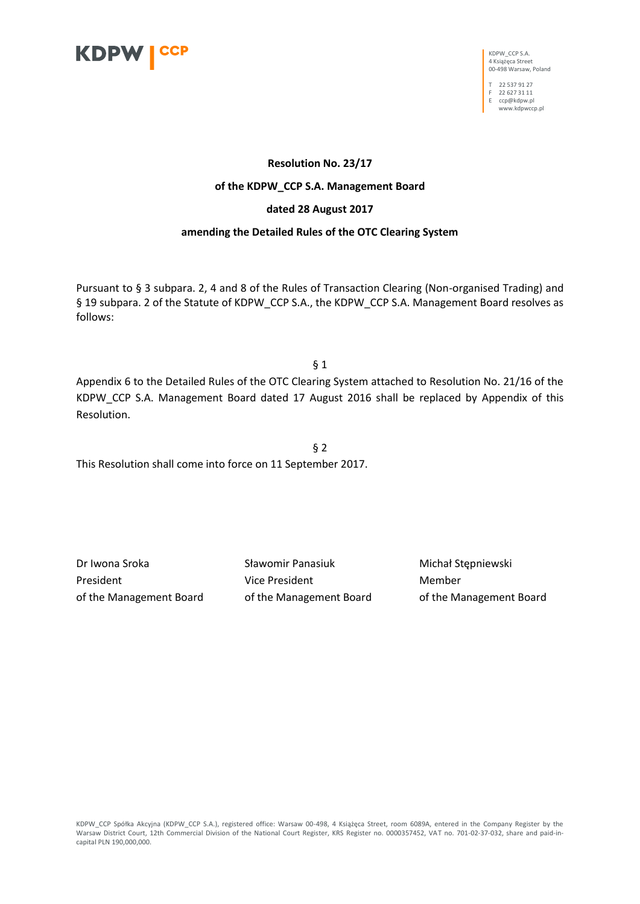

KDPW\_CCP S.A. 4 Książęca Street 00-498 Warsaw, Poland

T 22 537 91 27 F 22 627 31 11 E ccp@kdpw.pl

www.kdpwccp.pl

## **Resolution No. 23/17**

## **of the KDPW\_CCP S.A. Management Board**

#### **dated 28 August 2017**

## **amending the Detailed Rules of the OTC Clearing System**

Pursuant to § 3 subpara. 2, 4 and 8 of the Rules of Transaction Clearing (Non-organised Trading) and § 19 subpara. 2 of the Statute of KDPW\_CCP S.A., the KDPW\_CCP S.A. Management Board resolves as follows:

 $§$  1

Appendix 6 to the Detailed Rules of the OTC Clearing System attached to Resolution No. 21/16 of the KDPW\_CCP S.A. Management Board dated 17 August 2016 shall be replaced by Appendix of this Resolution.

§ 2 This Resolution shall come into force on 11 September 2017.

Dr Iwona Sroka Sławomir Panasiuk Michał Stępniewski President **Member** Vice President Member of the Management Board of the Management Board of the Management Board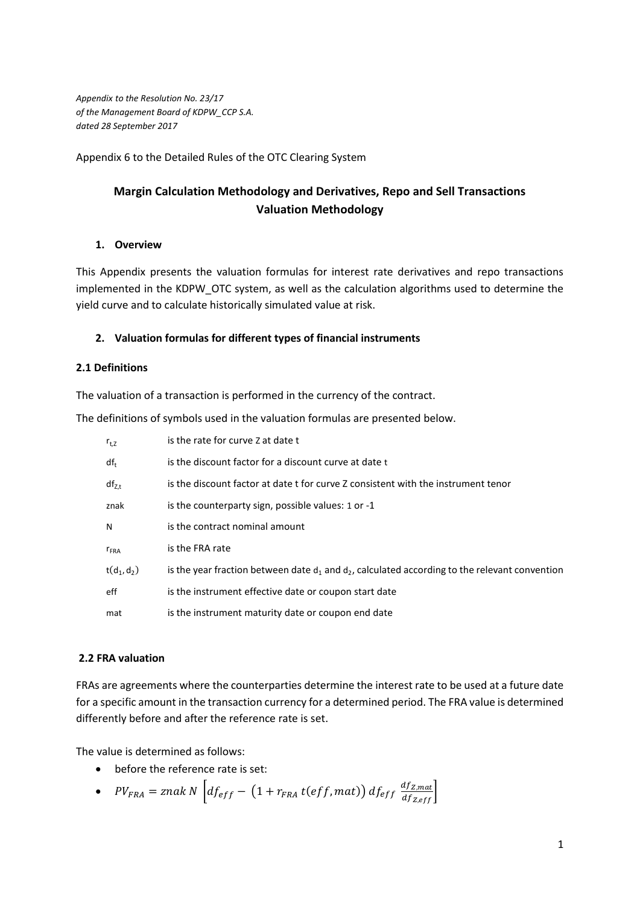*Appendix to the Resolution No. 23/17 of the Management Board of KDPW\_CCP S.A. dated 28 September 2017*

Appendix 6 to the Detailed Rules of the OTC Clearing System

# **Margin Calculation Methodology and Derivatives, Repo and Sell Transactions Valuation Methodology**

# **1. Overview**

This Appendix presents the valuation formulas for interest rate derivatives and repo transactions implemented in the KDPW\_OTC system, as well as the calculation algorithms used to determine the yield curve and to calculate historically simulated value at risk.

# **2. Valuation formulas for different types of financial instruments**

# **2.1 Definitions**

The valuation of a transaction is performed in the currency of the contract.

The definitions of symbols used in the valuation formulas are presented below.

| $r_{t, Z}$    | is the rate for curve Z at date t                                                                   |  |
|---------------|-----------------------------------------------------------------------------------------------------|--|
| $df_{t}$      | is the discount factor for a discount curve at date t                                               |  |
| $df_{Z,t}$    | is the discount factor at date t for curve Z consistent with the instrument tenor                   |  |
| znak          | is the counterparty sign, possible values: 1 or -1                                                  |  |
| N             | is the contract nominal amount                                                                      |  |
| $r_{FRA}$     | is the FRA rate                                                                                     |  |
| $t(d_1, d_2)$ | is the year fraction between date $d_1$ and $d_2$ , calculated according to the relevant convention |  |
| eff           | is the instrument effective date or coupon start date                                               |  |
| mat           | is the instrument maturity date or coupon end date                                                  |  |

# **2.2 FRA valuation**

FRAs are agreements where the counterparties determine the interest rate to be used at a future date for a specific amount in the transaction currency for a determined period. The FRA value is determined differently before and after the reference rate is set.

The value is determined as follows:

• before the reference rate is set:

• 
$$
PV_{FRA} = \text{znak } N \left[ df_{eff} - \left( 1 + r_{FRA} t (eff, mat) \right) df_{eff} \frac{df_{Z, mat}}{df_{Z,eff}} \right]
$$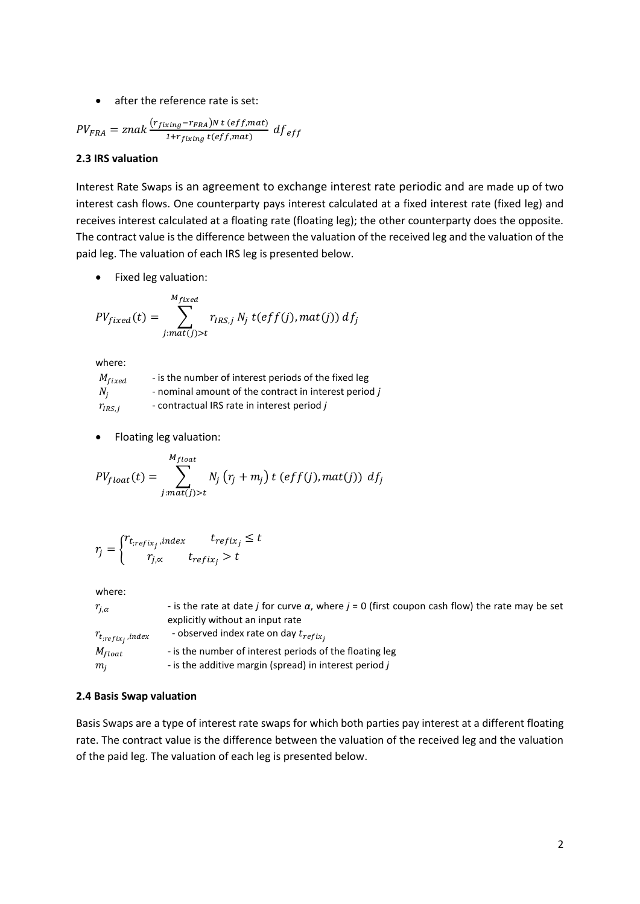# • after the reference rate is set:

$$
PV_{FRA} = znak \frac{(r_{fixing} - r_{FRA})N t (eff, mat)}{1 + r_{fixing} t (eff, mat)} df_{eff}
$$

# **2.3 IRS valuation**

Interest Rate Swaps is an agreement to exchange interest rate periodic and are made up of two interest cash flows. One counterparty pays interest calculated at a fixed interest rate (fixed leg) and receives interest calculated at a floating rate (floating leg); the other counterparty does the opposite. The contract value is the difference between the valuation of the received leg and the valuation of the paid leg. The valuation of each IRS leg is presented below.

• Fixed leg valuation:

$$
PV_{fixed}(t) = \sum_{j:mat(j)>t}^{M_{fixed}} r_{IRS,j} N_j t(eff(j),mat(j)) df_j
$$

where:

| $M_{fixed}$ | - is the number of interest periods of the fixed leg  |
|-------------|-------------------------------------------------------|
| $N_i$       | - nominal amount of the contract in interest period j |
| $r_{IRS,i}$ | - contractual IRS rate in interest period j           |

• Floating leg valuation:

$$
PV_{float}(t) = \sum_{j:mat(j)>t}^{M_{float}} N_j (r_j + m_j) t (eff(j), mat(j)) df_j
$$

$$
r_j = \begin{cases} r_{t,refix_j} \cdot index & t_{refix_j} \le t \\ r_{j,\propto} & t_{refix_j} > t \end{cases}
$$

where:

| $r_{i,\alpha}$        | - is the rate at date <i>j</i> for curve $\alpha$ , where $j = 0$ (first coupon cash flow) the rate may be set |
|-----------------------|----------------------------------------------------------------------------------------------------------------|
|                       | explicitly without an input rate                                                                               |
| $r_{t;refix_j,index}$ | - observed index rate on day $t_{refix_i}$                                                                     |
| $M_{float}$           | - is the number of interest periods of the floating leg                                                        |
| $m_i$                 | - is the additive margin (spread) in interest period j                                                         |

#### **2.4 Basis Swap valuation**

Basis Swaps are a type of interest rate swaps for which both parties pay interest at a different floating rate. The contract value is the difference between the valuation of the received leg and the valuation of the paid leg. The valuation of each leg is presented below.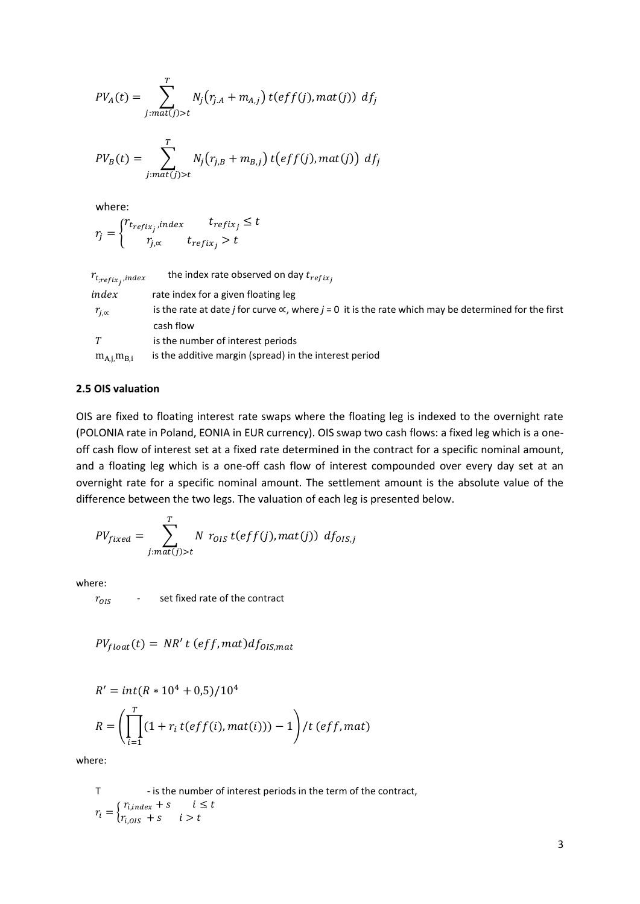$$
PV_A(t) = \sum_{j:mat(j)>t}^{T} N_j(r_{j,A} + m_{A,j}) t(eff(j),mat(j)) df_j
$$

$$
PV_B(t) = \sum_{j:mat(j)>t}^{T} N_j(r_{j,B} + m_{B,j}) t\big(eff(j),mat(j)\big) df_j
$$

where:

$$
r_j = \begin{cases} r_{trefix_j} , index & t_{refix_j} \le t \\ r_{j,\propto} & t_{refix_j} > t \end{cases}
$$

| $r_{t;refix_j,index}$ | the index rate observed on day $t_{refix_i}$                                                                               |
|-----------------------|----------------------------------------------------------------------------------------------------------------------------|
| index                 | rate index for a given floating leg                                                                                        |
| $r_{i,\alpha}$        | is the rate at date <i>j</i> for curve $\propto$ , where <i>j</i> = 0 it is the rate which may be determined for the first |
|                       | cash flow                                                                                                                  |
|                       | is the number of interest periods                                                                                          |
| $m_{A,i}m_{B,i}$      | is the additive margin (spread) in the interest period                                                                     |

## **2.5 OIS valuation**

OIS are fixed to floating interest rate swaps where the floating leg is indexed to the overnight rate (POLONIA rate in Poland, EONIA in EUR currency). OIS swap two cash flows: a fixed leg which is a oneoff cash flow of interest set at a fixed rate determined in the contract for a specific nominal amount, and a floating leg which is a one-off cash flow of interest compounded over every day set at an overnight rate for a specific nominal amount. The settlement amount is the absolute value of the difference between the two legs. The valuation of each leg is presented below.

$$
PV_{fixed} = \sum_{j:mat(j)>t}^{T} N \ r_{OIS} \ t(eff(j),mat(j)) \ d f_{OIS,j}
$$

where:

 $r_{OIS}$  - set fixed rate of the contract

 $PV_{float}(t) = NR' t (eff, mat) df_{OIS, mat}$ 

$$
R' = int(R * 104 + 0.5)/104
$$
  

$$
R = \left(\prod_{i=1}^{T} (1 + r_i t(eff(i), mat(i))) - 1\right) / t (eff, mat)
$$

where:

T - is the number of interest periods in the term of the contract,  $r_i = \begin{cases} r_{i, index} + s & i \leq t \\ r_{i, max} + s & i > t \end{cases}$  $r_{i,0IS} + s$   $i > t$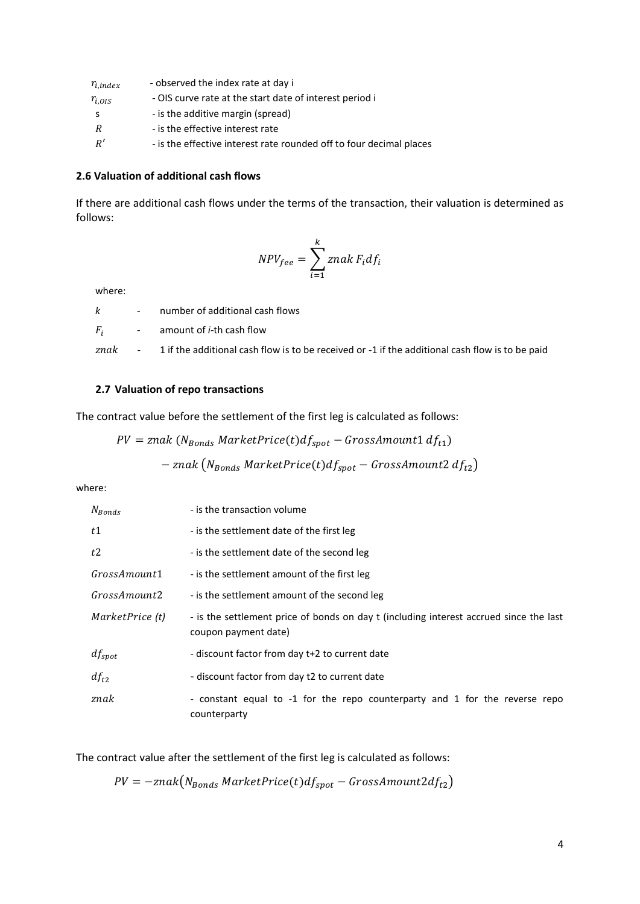| $r_{i,index}$ | - observed the index rate at day i                                  |
|---------------|---------------------------------------------------------------------|
| $r_{i.01S}$   | - OIS curve rate at the start date of interest period i             |
|               | - is the additive margin (spread)                                   |
| R             | - is the effective interest rate                                    |
| R'            | - is the effective interest rate rounded off to four decimal places |

#### **2.6 Valuation of additional cash flows**

If there are additional cash flows under the terms of the transaction, their valuation is determined as follows:

$$
NPV_{fee} = \sum_{i=1}^{k} znak F_i df_i
$$

where:

|  | - number of additional cash flows                                                                                        |
|--|--------------------------------------------------------------------------------------------------------------------------|
|  | $F_i$ - amount of <i>i</i> -th cash flow                                                                                 |
|  | znak $\qquad$ - $\qquad$ 1 if the additional cash flow is to be received or -1 if the additional cash flow is to be paid |

## **2.7 Valuation of repo transactions**

The contract value before the settlement of the first leg is calculated as follows:

$$
PV = znak (N_{Bonds} MarketPrice(t)df_{spot} - GrossAmount1 df_{t1})
$$

$$
- znak (N_{Bonds} MarketPrice(t)df_{spot} - GrossAmount2 df_{t2})
$$

where:

| $N_{Bonds}$     | - is the transaction volume                                                                                    |
|-----------------|----------------------------------------------------------------------------------------------------------------|
| t1              | - is the settlement date of the first leg                                                                      |
| t2              | - is the settlement date of the second leg                                                                     |
| GrossAmount1    | - is the settlement amount of the first leg                                                                    |
| GrossAmount2    | - is the settlement amount of the second leg                                                                   |
| MarketPrice (t) | - is the settlement price of bonds on day t (including interest accrued since the last<br>coupon payment date) |
| $df_{spot}$     | - discount factor from day t+2 to current date                                                                 |
| $df_{t2}$       | - discount factor from day t2 to current date                                                                  |
| znak            | - constant equal to -1 for the repo counterparty and 1 for the reverse repo<br>counterparty                    |

The contract value after the settlement of the first leg is calculated as follows:

 $PV = -znak(N_{Bonds} MarketPrice(t)df_{spot} - GrossAmount2df_{t2})$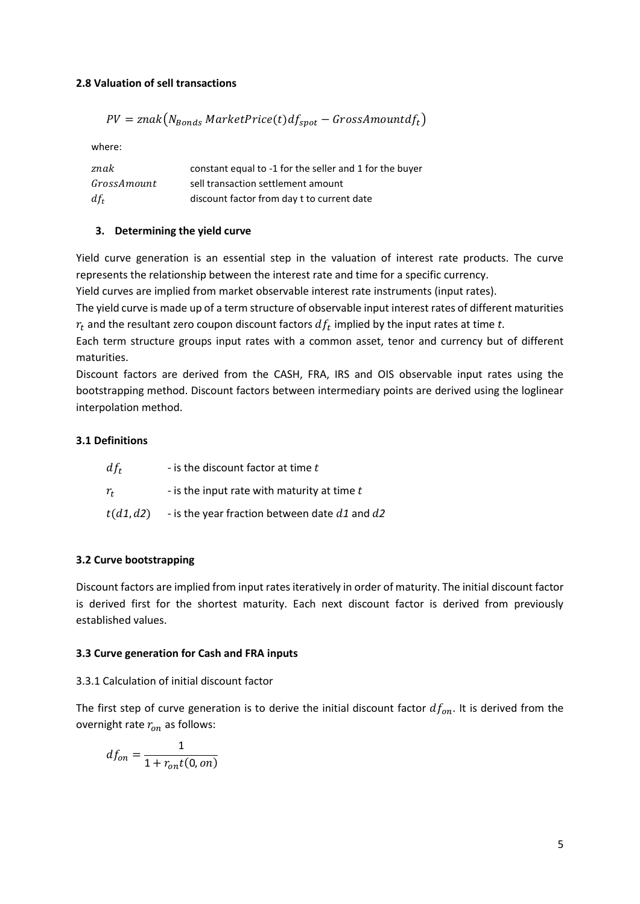# **2.8 Valuation of sell transactions**

$$
PV = znak(N_{Bonds}\ MarketPrice(t)df_{spot} - GrossAmountdf_t)
$$

where:

| znak        | constant equal to -1 for the seller and 1 for the buyer |
|-------------|---------------------------------------------------------|
| GrossAmount | sell transaction settlement amount                      |
| $df_t$      | discount factor from day t to current date              |

# **3. Determining the yield curve**

Yield curve generation is an essential step in the valuation of interest rate products. The curve represents the relationship between the interest rate and time for a specific currency.

Yield curves are implied from market observable interest rate instruments (input rates).

The yield curve is made up of a term structure of observable input interest rates of different maturities  $r_t$  and the resultant zero coupon discount factors  $df_t$  implied by the input rates at time  $t.$ 

Each term structure groups input rates with a common asset, tenor and currency but of different maturities.

Discount factors are derived from the CASH, FRA, IRS and OIS observable input rates using the bootstrapping method. Discount factors between intermediary points are derived using the loglinear interpolation method.

# **3.1 Definitions**

| - is the discount factor at time $t$<br>$df_t$ |                                                   |
|------------------------------------------------|---------------------------------------------------|
| $r_{t}$                                        | - is the input rate with maturity at time t       |
| t(d1, d2)                                      | - is the year fraction between date $d1$ and $d2$ |

# **3.2 Curve bootstrapping**

Discount factors are implied from input rates iteratively in order of maturity. The initial discount factor is derived first for the shortest maturity. Each next discount factor is derived from previously established values.

# **3.3 Curve generation for Cash and FRA inputs**

# 3.3.1 Calculation of initial discount factor

The first step of curve generation is to derive the initial discount factor  $df_{on}$ . It is derived from the overnight rate  $r_{on}$  as follows:

$$
df_{on} = \frac{1}{1 + r_{on}t(0, on)}
$$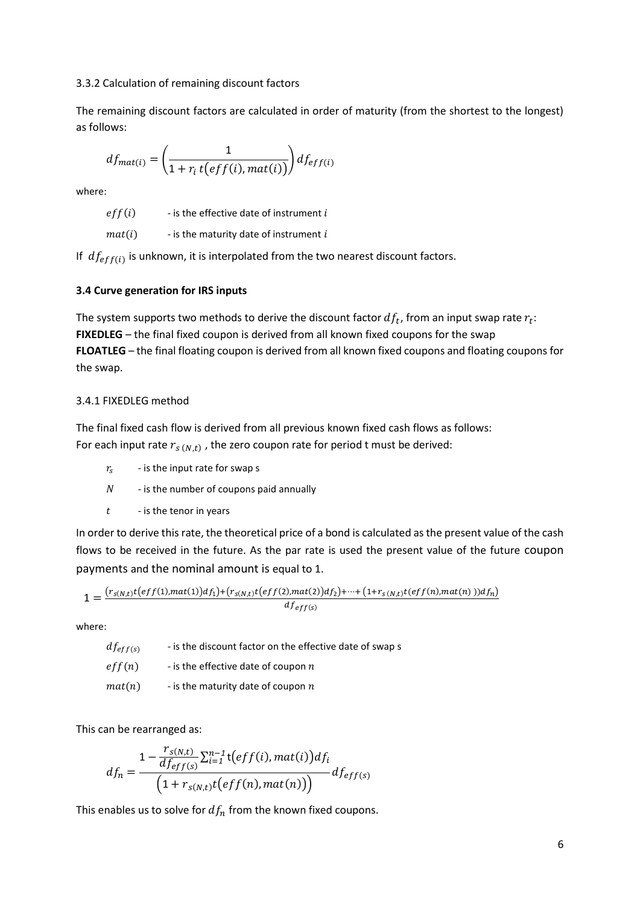#### 3.3.2 Calculation of remaining discount factors

The remaining discount factors are calculated in order of maturity (from the shortest to the longest) as follows:

$$
df_{mat(i)} = \left(\frac{1}{1 + r_i t\big(eff(i), mat(i)\big)}\right) df_{eff(i)}
$$

where:

 $eff(i)$  - is the effective date of instrument i

 $mat(i)$  - is the maturity date of instrument i

If  $df_{eff(i)}$  is unknown, it is interpolated from the two nearest discount factors.

## **3.4 Curve generation for IRS inputs**

The system supports two methods to derive the discount factor  $df_t$ , from an input swap rate  $r_t$ : **FIXEDLEG** – the final fixed coupon is derived from all known fixed coupons for the swap **FLOATLEG** – the final floating coupon is derived from all known fixed coupons and floating coupons for the swap.

## 3.4.1 FIXEDLEG method

The final fixed cash flow is derived from all previous known fixed cash flows as follows: For each input rate  $r_{s(N,t)}$  , the zero coupon rate for period t must be derived:

- $r_{\rm s}$ - is the input rate for swap s
- $N$  is the number of coupons paid annually
- $t -$  is the tenor in years

In order to derive this rate, the theoretical price of a bond is calculated as the present value of the cash flows to be received in the future. As the par rate is used the present value of the future coupon payments and the nominal amount is equal to 1.

$$
1 = \frac{(r_{s(N,t)}t(eff(1),mat(1))df_1) + (r_{s(N,t)}t(eff(2),mat(2))df_2) + \dots + (1 + r_{s(N,t)}t(eff(n),mat(n)))df_n)}{df_{eff(s)}}
$$

where:

| $df_{eff(s)}$ | - is the discount factor on the effective date of swap s |
|---------------|----------------------------------------------------------|
| eff(n)        | - is the effective date of coupon $n$                    |
| mat(n)        | - is the maturity date of coupon $n$                     |

This can be rearranged as:

$$
df_n = \frac{1 - \frac{r_{S(N,t)}}{df_{eff(s)}} \sum_{i=1}^{n-1} t\big( eff(i), mat(i)\big) df_i}{\big(1 + r_{S(N,t)} t\big( eff(n), mat(n)\big)\big)} df_{eff(s)}
$$

This enables us to solve for  $df_n$  from the known fixed coupons.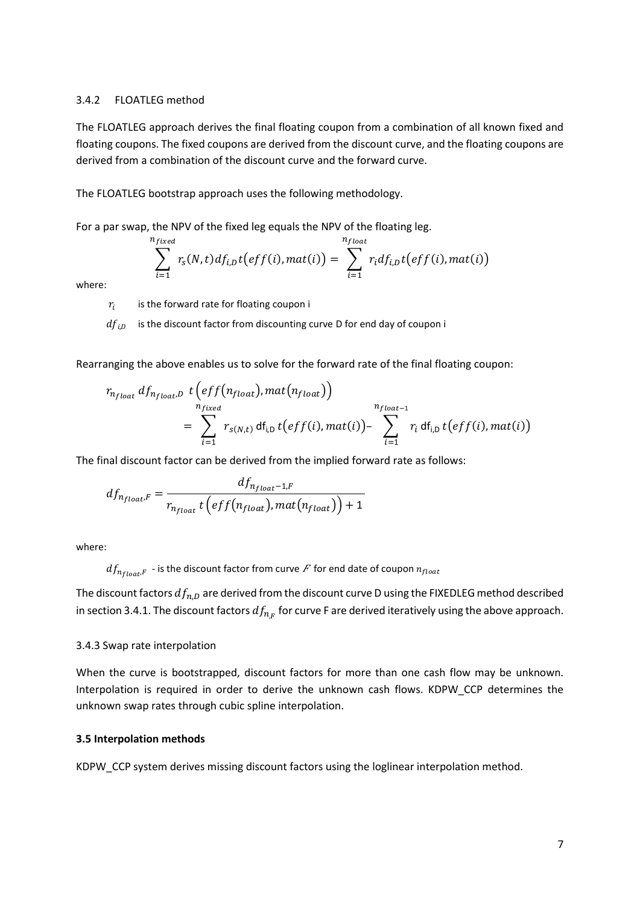## 3.4.2 FLOATLEG method

The FLOATLEG approach derives the final floating coupon from a combination of all known fixed and floating coupons. The fixed coupons are derived from the discount curve, and the floating coupons are derived from a combination of the discount curve and the forward curve.

The FLOATLEG bootstrap approach uses the following methodology.

For a par swap, the NPV of the fixed leg equals the NPV of the floating leg.

$$
\sum_{i=1}^{n_{fixed}} r_s(N,t) df_{i,D} t\big( eff(i), mat(i) \big) = \sum_{i=1}^{n_{float}} r_i df_{i,D} t\big( eff(i), mat(i) \big)
$$

where:

 $r_i$ is the forward rate for floating coupon i

 $\mathbb{R}^2$ 

 $df_{i,D}$  is the discount factor from discounting curve D for end day of coupon i

Rearranging the above enables us to solve for the forward rate of the final floating coupon:

$$
r_{n_{float}} df_{n_{float}.D} t\left( eff(n_{float}), mat(n_{float}) \right)
$$
  
= 
$$
\sum_{i=1}^{n_{fixed}} r_{s(N,t)} df_{i,D} t\left( eff(i), mat(i) \right) - \sum_{i=1}^{n_{float-1}} r_i df_{i,D} t\left( eff(i), mat(i) \right)
$$

The final discount factor can be derived from the implied forward rate as follows:

$$
df_{n_{float}.F} = \frac{df_{n_{float}-1,F}}{r_{n_{float}} t\left(eff\left(n_{float}\right),mat\left(n_{float}\right)\right) + 1}
$$

where:

 $df_{n_{float}F}$  - is the discount factor from curve F for end date of coupon  $n_{float}$ 

The discount factors  $df_{n,D}$  are derived from the discount curve D using the FIXEDLEG method described in section 3.4.1. The discount factors  $df_{n_{,F}}$  for curve F are derived iteratively using the above approach.

#### 3.4.3 Swap rate interpolation

When the curve is bootstrapped, discount factors for more than one cash flow may be unknown. Interpolation is required in order to derive the unknown cash flows. KDPW\_CCP determines the unknown swap rates through cubic spline interpolation.

#### **3.5 Interpolation methods**

KDPW\_CCP system derives missing discount factors using the loglinear interpolation method.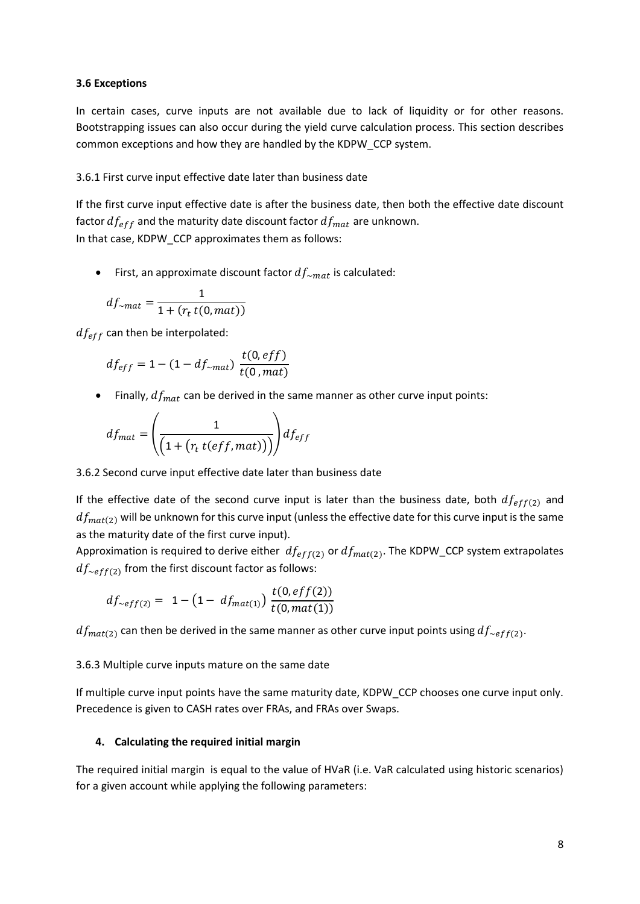## **3.6 Exceptions**

In certain cases, curve inputs are not available due to lack of liquidity or for other reasons. Bootstrapping issues can also occur during the yield curve calculation process. This section describes common exceptions and how they are handled by the KDPW\_CCP system.

# 3.6.1 First curve input effective date later than business date

If the first curve input effective date is after the business date, then both the effective date discount factor  $df_{eff}$  and the maturity date discount factor  $df_{mat}$  are unknown. In that case, KDPW\_CCP approximates them as follows:

• First, an approximate discount factor  $df_{\sim mat}$  is calculated:

$$
df_{\sim mat} = \frac{1}{1 + (r_t t(0, mat))}
$$

 $df_{eff}$  can then be interpolated:

$$
df_{eff} = 1 - (1 - df_{\sim mat}) \frac{t(0, eff)}{t(0, mat)}
$$

• Finally,  $df_{mat}$  can be derived in the same manner as other curve input points:

$$
df_{mat} = \left(\frac{1}{\left(1 + \left(r_t \ t(eff, mat)\right)\right)}\right) df_{eff}
$$

# 3.6.2 Second curve input effective date later than business date

If the effective date of the second curve input is later than the business date, both  $df_{eff(2)}$  and  $df_{mat(2)}$  will be unknown for this curve input (unless the effective date for this curve input is the same as the maturity date of the first curve input).

Approximation is required to derive either  $df_{eff(2)}$  or  $df_{mat(2)}$ . The KDPW\_CCP system extrapolates  $df_{\sim eff(2)}$  from the first discount factor as follows:

$$
df_{\sim eff(2)} = 1 - \left(1 - df_{mat(1)}\right) \frac{t(0, eff(2))}{t(0, mat(1))}
$$

 $df_{mat(2)}$  can then be derived in the same manner as other curve input points using  $df_{\sim eff(2)}$ .

#### 3.6.3 Multiple curve inputs mature on the same date

If multiple curve input points have the same maturity date, KDPW\_CCP chooses one curve input only. Precedence is given to CASH rates over FRAs, and FRAs over Swaps.

#### **4. Calculating the required initial margin**

The required initial margin is equal to the value of HVaR (i.e. VaR calculated using historic scenarios) for a given account while applying the following parameters: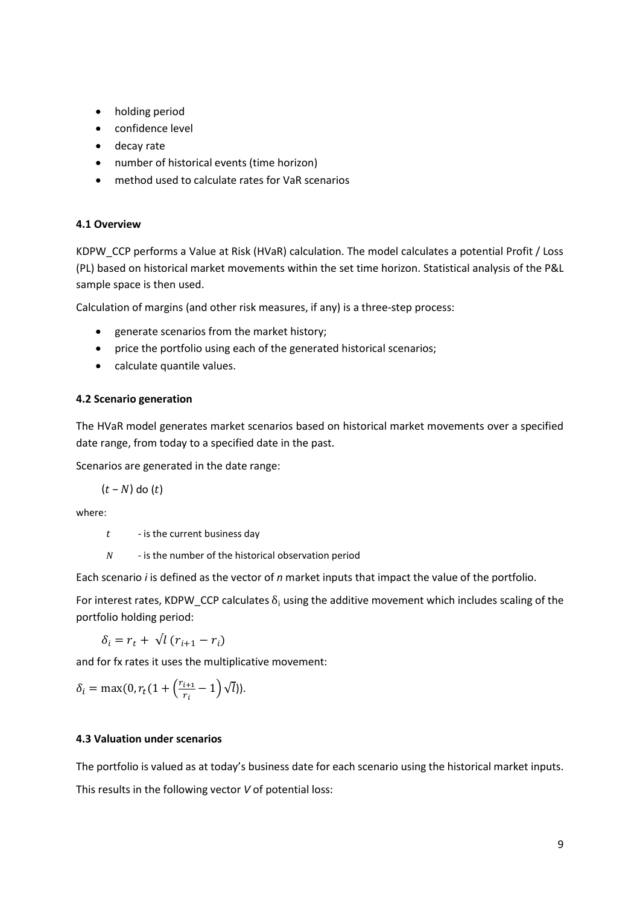- holding period
- confidence level
- decay rate
- number of historical events (time horizon)
- method used to calculate rates for VaR scenarios

# **4.1 Overview**

KDPW\_CCP performs a Value at Risk (HVaR) calculation. The model calculates a potential Profit / Loss (PL) based on historical market movements within the set time horizon. Statistical analysis of the P&L sample space is then used.

Calculation of margins (and other risk measures, if any) is a three-step process:

- generate scenarios from the market history;
- price the portfolio using each of the generated historical scenarios;
- calculate quantile values.

# **4.2 Scenario generation**

The HVaR model generates market scenarios based on historical market movements over a specified date range, from today to a specified date in the past.

Scenarios are generated in the date range:

 $(t - N)$  do  $(t)$ 

where:

- $t$  is the current business day
- $N$  is the number of the historical observation period

Each scenario *i* is defined as the vector of *n* market inputs that impact the value of the portfolio.

For interest rates, KDPW\_CCP calculates  $\delta_i$  using the additive movement which includes scaling of the portfolio holding period:

 $\delta_i = r_t + \sqrt{l (r_{i+1} - r_i)}$ 

and for fx rates it uses the multiplicative movement:

$$
\delta_i = \max(0, r_t(1 + \left(\frac{r_{i+1}}{r_i} - 1\right)\sqrt{l})).
$$

# **4.3 Valuation under scenarios**

The portfolio is valued as at today's business date for each scenario using the historical market inputs. This results in the following vector *V* of potential loss: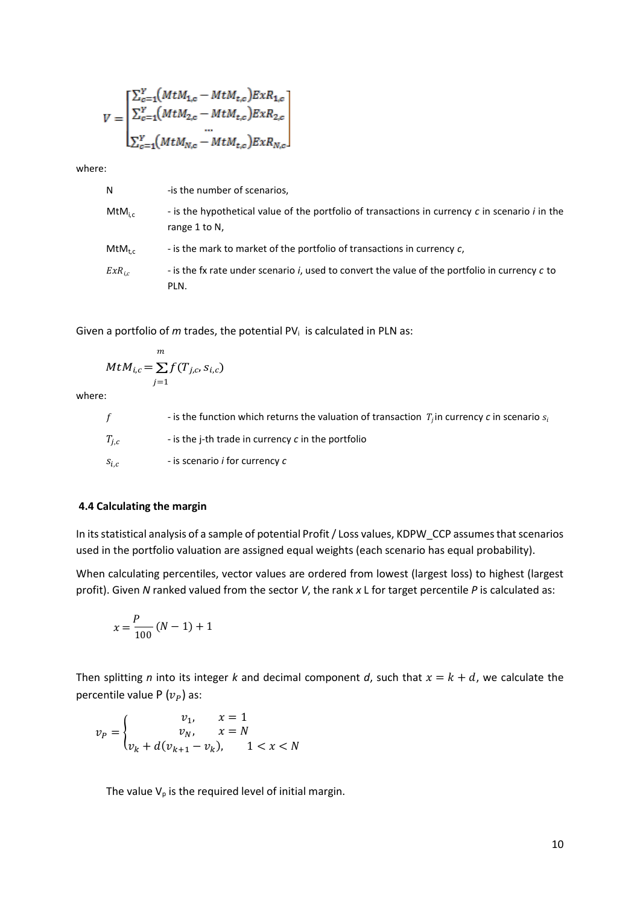$$
V = \begin{bmatrix} \sum_{c=1}^{Y} (MtM_{1,c} - MtM_{t,c})ExR_{1,c} \\ \sum_{c=1}^{Y} (MtM_{2,c} - MtM_{t,c})ExR_{2,c} \\ \dots \\ \sum_{c=1}^{Y} (MtM_{N,c} - MtM_{t,c})ExR_{N,c} \end{bmatrix}
$$

where:

-is the number of scenarios,

 $MtM_{i,c}$ - is the hypothetical value of the portfolio of transactions in currency *c* in scenario *i* in the range 1 to N,

 $MtM_{t.c.}$ - is the mark to market of the portfolio of transactions in currency *c*,

 $ExR_{i,c}$ *-* is the fx rate under scenario *i*, used to convert the value of the portfolio in currency *c* to PLN.

Given a portfolio of *m* trades, the potential PV<sub>i</sub> is calculated in PLN as:

$$
MtM_{i,c} = \sum_{j=1}^{m} f(T_{j,c}, s_{i,c})
$$

where:

 $f$  - is the function which returns the valuation of transaction  $T_i$  in currency *c* in scenario  $s_i$  $T_{i,c}$ - is the j-th trade in currency *c* in the portfolio  $S_{i,c}$ - is scenario *i* for currency *c*

#### **4.4 Calculating the margin**

In its statistical analysis of a sample of potential Profit / Loss values, KDPW\_CCP assumes that scenarios used in the portfolio valuation are assigned equal weights (each scenario has equal probability).

When calculating percentiles, vector values are ordered from lowest (largest loss) to highest (largest profit). Given *N* ranked valued from the sector *V*, the rank *x* L for target percentile *P* is calculated as:

$$
x = \frac{P}{100} (N - 1) + 1
$$

Then splitting *n* into its integer *k* and decimal component *d*, such that  $x = k + d$ , we calculate the percentile value P  $(v_P)$  as:

$$
v_{P} = \begin{cases} v_{1}, & x = 1 \\ v_{N}, & x = N \\ v_{k} + d(v_{k+1} - v_{k}), & 1 < x < N \end{cases}
$$

The value  $V_p$  is the required level of initial margin.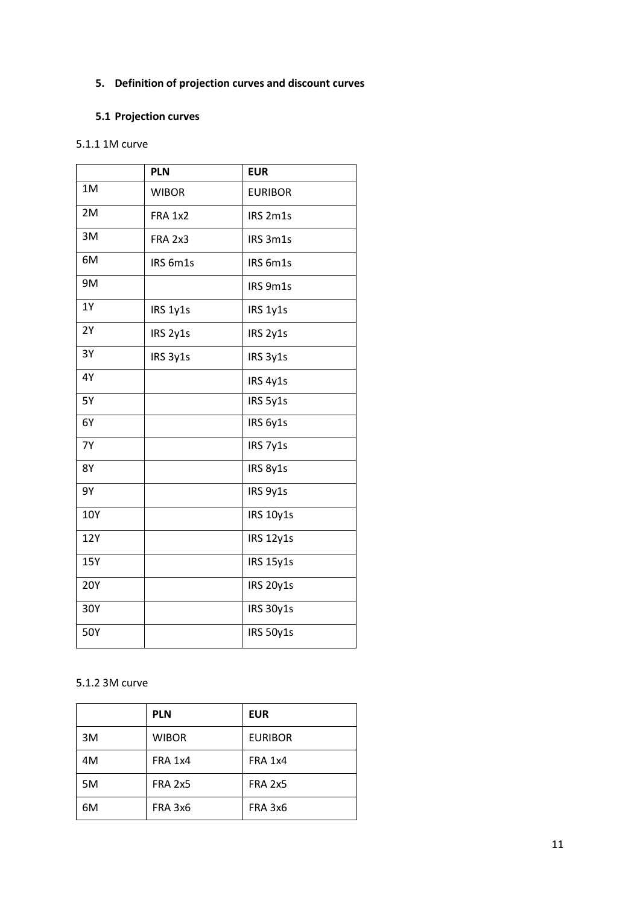# **5. Definition of projection curves and discount curves**

# **5.1 Projection curves**

# 5.1.1 1M curve

|            | <b>PLN</b>     | <b>EUR</b>       |
|------------|----------------|------------------|
| 1M         | <b>WIBOR</b>   | <b>EURIBOR</b>   |
| 2M         | <b>FRA 1x2</b> | IRS 2m1s         |
| 3M         | FRA 2x3        | IRS 3m1s         |
| 6M         | IRS 6m1s       | IRS 6m1s         |
| 9M         |                | IRS 9m1s         |
| 1Y         | IRS 1y1s       | IRS 1y1s         |
| 2Y         | IRS 2y1s       | IRS 2y1s         |
| 3Y         | IRS 3y1s       | IRS 3y1s         |
| 4Y         |                | IRS 4y1s         |
| 5Y         |                | IRS 5y1s         |
| 6Y         |                | IRS 6y1s         |
| <b>7Y</b>  |                | IRS 7y1s         |
| <b>8Y</b>  |                | IRS 8y1s         |
| 9Υ         |                | IRS 9y1s         |
| 10Y        |                | <b>IRS 10y1s</b> |
| 12Y        |                | <b>IRS 12y1s</b> |
| 15Y        |                | <b>IRS 15y1s</b> |
| <b>20Y</b> |                | <b>IRS 20y1s</b> |
| 30Y        |                | IRS 30y1s        |
| 50Y        |                | <b>IRS 50y1s</b> |

# 5.1.2 3M curve

|    | <b>PLN</b>     | <b>EUR</b>     |
|----|----------------|----------------|
| 3M | <b>WIBOR</b>   | <b>EURIBOR</b> |
| 4M | <b>FRA 1x4</b> | <b>FRA 1x4</b> |
| 5M | <b>FRA 2x5</b> | <b>FRA 2x5</b> |
| 6M | FRA 3x6        | FRA 3x6        |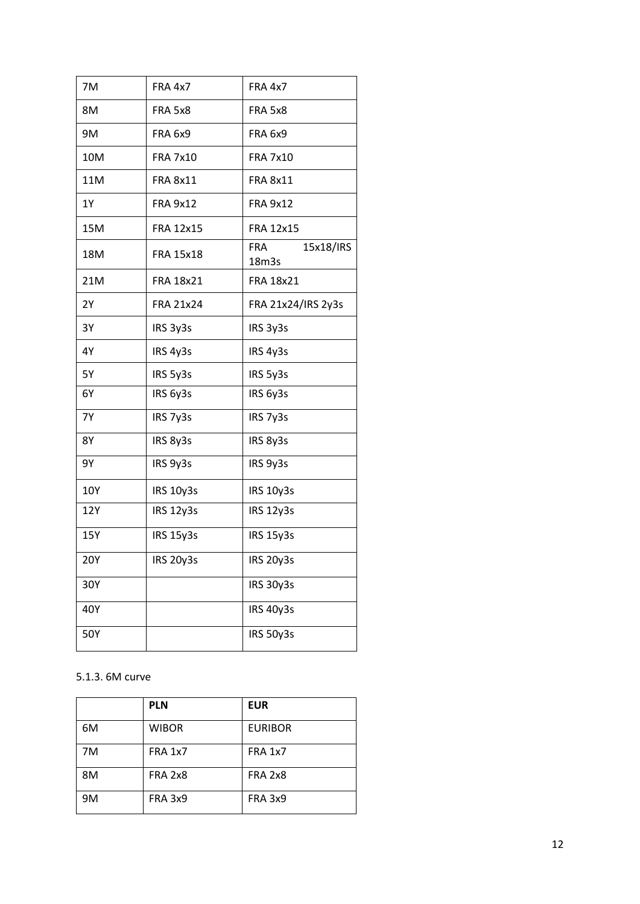| 7M        | <b>FRA 4x7</b>   | <b>FRA 4x7</b>                   |
|-----------|------------------|----------------------------------|
| 8M        | FRA 5x8          | FRA 5x8                          |
| 9M        | FRA 6x9          | <b>FRA 6x9</b>                   |
| 10M       | <b>FRA 7x10</b>  | <b>FRA 7x10</b>                  |
| 11M       | <b>FRA 8x11</b>  | <b>FRA 8x11</b>                  |
| 1Y        | <b>FRA 9x12</b>  | <b>FRA 9x12</b>                  |
| 15M       | <b>FRA 12x15</b> | <b>FRA 12x15</b>                 |
| 18M       | <b>FRA 15x18</b> | 15x18/IRS<br><b>FRA</b><br>18m3s |
| 21M       | <b>FRA 18x21</b> | <b>FRA 18x21</b>                 |
| 2Y        | <b>FRA 21x24</b> | FRA 21x24/IRS 2y3s               |
| 3Y        | IRS 3y3s         | IRS 3y3s                         |
| 4Y        | IRS 4y3s         | IRS 4y3s                         |
| 5Y        | IRS 5y3s         | IRS 5y3s                         |
| 6Y        | IRS 6y3s         | IRS 6y3s                         |
| <b>7Y</b> | IRS 7y3s         | IRS 7y3s                         |
| <b>8Y</b> | IRS 8y3s         | IRS 8y3s                         |
| 9Υ        | IRS 9y3s         | IRS 9y3s                         |
| 10Y       | <b>IRS 10y3s</b> | <b>IRS 10y3s</b>                 |
| 12Y       | <b>IRS 12y3s</b> | IRS 12y3s                        |
| 15Y       | <b>IRS 15y3s</b> | <b>IRS 15y3s</b>                 |
| 20Y       | IRS 20y3s        | <b>IRS 20y3s</b>                 |
| 30Y       |                  | <b>IRS 30y3s</b>                 |
| 40Y       |                  | <b>IRS 40y3s</b>                 |
| 50Y       |                  | <b>IRS 50y3s</b>                 |

# 5.1.3. 6M curve

|    | <b>PLN</b>     | <b>EUR</b>     |
|----|----------------|----------------|
| 6M | <b>WIBOR</b>   | <b>EURIBOR</b> |
| 7M | <b>FRA 1x7</b> | <b>FRA 1x7</b> |
| 8M | <b>FRA 2x8</b> | <b>FRA 2x8</b> |
| 9M | <b>FRA 3x9</b> | <b>FRA 3x9</b> |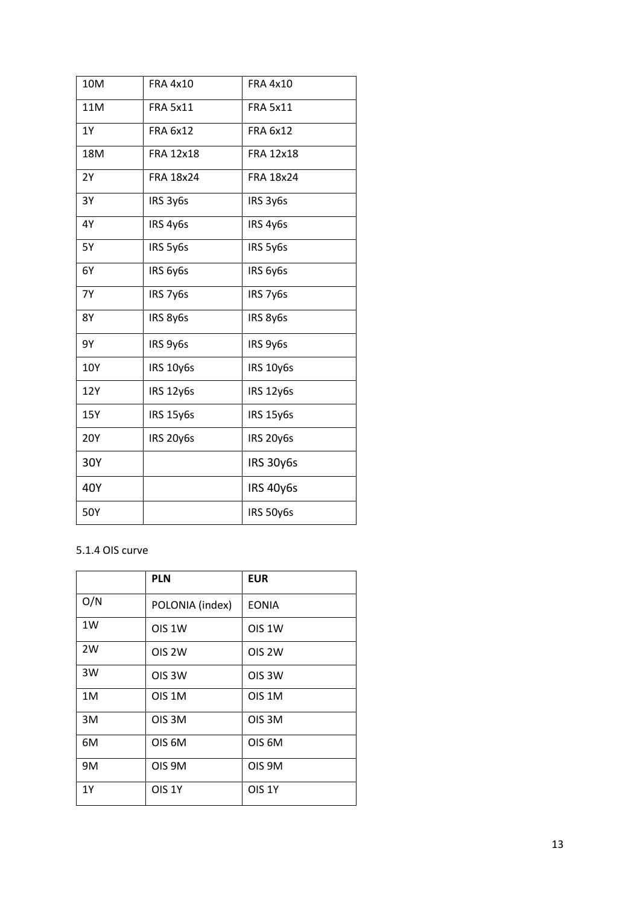| 10M        | <b>FRA 4x10</b>  | <b>FRA 4x10</b>  |
|------------|------------------|------------------|
| 11M        | <b>FRA 5x11</b>  | <b>FRA 5x11</b>  |
| <b>1Y</b>  | <b>FRA 6x12</b>  | <b>FRA 6x12</b>  |
| 18M        | <b>FRA 12x18</b> | <b>FRA 12x18</b> |
| 2Y         | <b>FRA 18x24</b> | FRA 18x24        |
| 3Y         | IRS 3y6s         | IRS 3y6s         |
| 4Y         | IRS 4y6s         | IRS 4y6s         |
| <b>5Y</b>  | IRS 5y6s         | IRS 5y6s         |
| 6Y         | IRS 6y6s         | IRS 6y6s         |
| <b>7Y</b>  | IRS 7y6s         | IRS 7y6s         |
| 8Y         | IRS 8y6s         | IRS 8y6s         |
| 9Υ         | IRS 9y6s         | IRS 9y6s         |
| 10Y        | <b>IRS 10y6s</b> | IRS 10y6s        |
| 12Y        | <b>IRS 12y6s</b> | <b>IRS 12y6s</b> |
| 15Y        | <b>IRS 15y6s</b> | <b>IRS 15y6s</b> |
| <b>20Y</b> | IRS 20y6s        | <b>IRS 20y6s</b> |
| 30Y        |                  | <b>IRS 30y6s</b> |
| 40Y        |                  | IRS 40y6s        |
| 50Y        |                  | IRS 50y6s        |

# 5.1.4 OIS curve

|     | <b>PLN</b>         | <b>EUR</b>         |
|-----|--------------------|--------------------|
| O/N | POLONIA (index)    | <b>EONIA</b>       |
| 1W  | OIS <sub>1W</sub>  | OIS 1W             |
| 2W  | OIS <sub>2W</sub>  | OIS <sub>2W</sub>  |
| 3W  | OIS <sub>3</sub> W | OIS <sub>3</sub> W |
| 1M  | OIS 1M             | OIS 1M             |
| 3M  | OIS <sub>3M</sub>  | OIS <sub>3M</sub>  |
| 6M  | OIS <sub>6M</sub>  | OIS <sub>6M</sub>  |
| 9M  | OIS 9M             | OIS 9M             |
| 1Y  | <b>OIS 1Y</b>      | <b>OIS 1Y</b>      |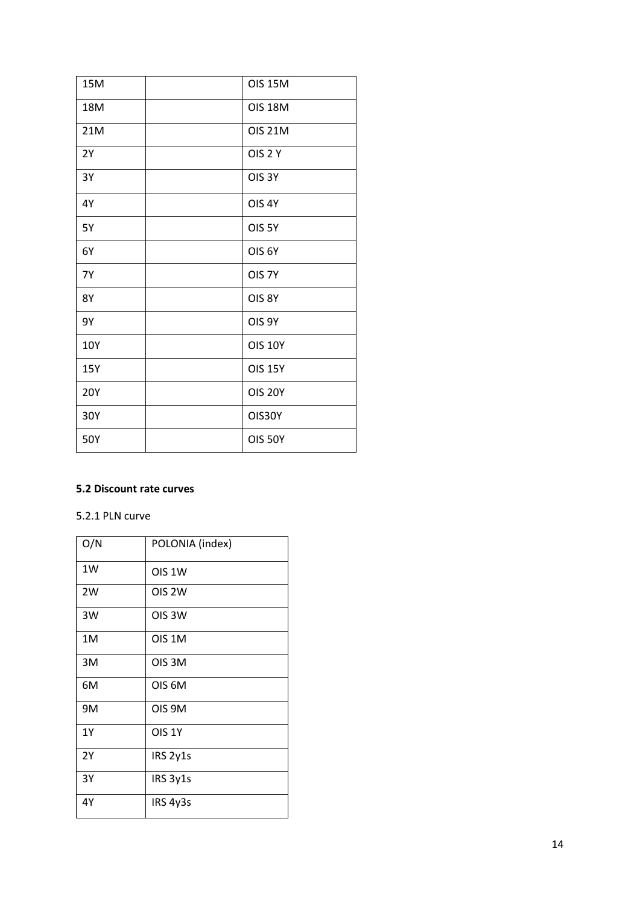| 15M        | <b>OIS 15M</b>    |
|------------|-------------------|
| 18M        | <b>OIS 18M</b>    |
| 21M        | <b>OIS 21M</b>    |
| 2Y         | OIS <sub>2Y</sub> |
| 3Y         | OIS <sub>3Y</sub> |
| 4Y         | OIS <sub>4Y</sub> |
| 5Y         | OIS <sub>5Y</sub> |
| 6Y         | OIS <sub>6Y</sub> |
| <b>7Y</b>  | OIS <sub>7Y</sub> |
| <b>8Y</b>  | OIS <sub>8Y</sub> |
| 9Υ         | OIS <sub>9Y</sub> |
| 10Y        | <b>OIS 10Y</b>    |
| 15Y        | <b>OIS 15Y</b>    |
| <b>20Y</b> | <b>OIS 20Y</b>    |
| 30Y        | OIS30Y            |
| 50Y        | <b>OIS 50Y</b>    |

# **5.2 Discount rate curves**

# 5.2.1 PLN curve

| O/N       | POLONIA (index)    |
|-----------|--------------------|
| 1W        | OIS <sub>1W</sub>  |
| 2W        | OIS <sub>2W</sub>  |
| 3W        | OIS <sub>3</sub> W |
| 1M        | OIS 1M             |
| 3M        | OIS <sub>3M</sub>  |
| 6M        | OIS <sub>6M</sub>  |
| 9M        | OIS 9M             |
| <b>1Y</b> | OIS <sub>1Y</sub>  |
| 2Y        | IRS 2y1s           |
| 3Y        | IRS 3y1s           |
| 4Y        | IRS 4y3s           |